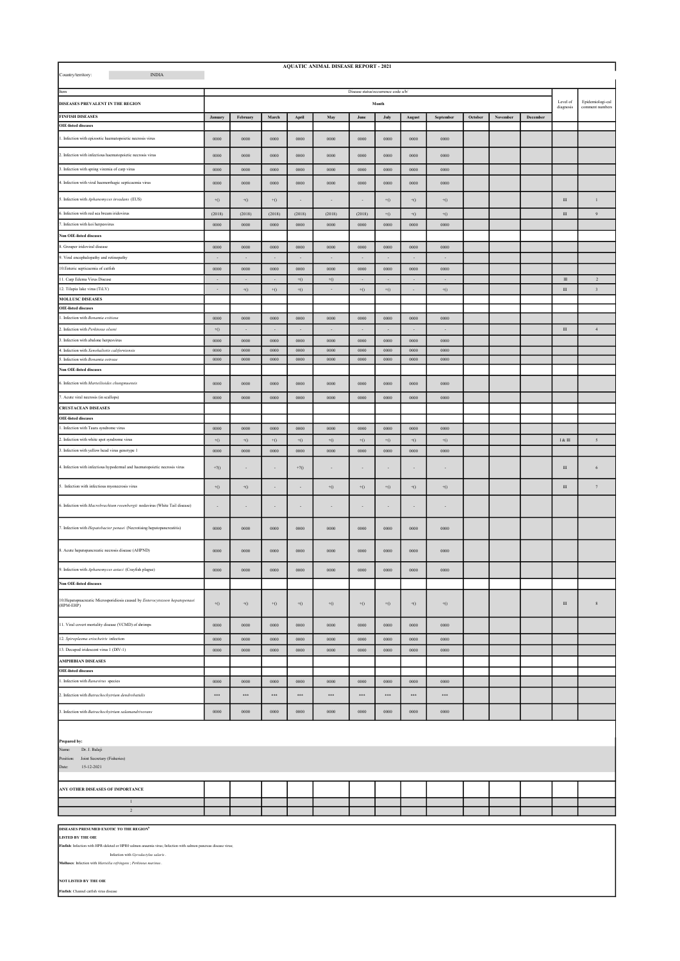| <b>AQUATIC ANIMAL DISEASE REPORT - 2021</b><br>$\mathbf{INDIA}$<br>Country/territory:                                                                                                              |                          |                                              |                          |                          |                          |                          |                          |                          |                          |         |          |          |                   |                         |
|----------------------------------------------------------------------------------------------------------------------------------------------------------------------------------------------------|--------------------------|----------------------------------------------|--------------------------|--------------------------|--------------------------|--------------------------|--------------------------|--------------------------|--------------------------|---------|----------|----------|-------------------|-------------------------|
| Item<br>DISEASES PREVALENT IN THE REGION                                                                                                                                                           |                          | Disease status/occurrence code a/b/<br>Month |                          |                          |                          |                          |                          |                          |                          |         |          |          | Level of          | Epidemiologi-cal        |
| <b>FINFISH DISEASES</b>                                                                                                                                                                            |                          | February<br>March                            |                          |                          |                          | June<br>July             |                          | September                |                          | October | November | December | diagnosis         | comment numbers         |
| <b>OIE-listed diseases</b>                                                                                                                                                                         | January                  |                                              |                          | April                    | May                      |                          |                          | August                   |                          |         |          |          |                   |                         |
| 1. Infection with epizootic haematopoietic necrosis virus                                                                                                                                          | 0000                     | 0000                                         | 0000                     | ${\bf 0000}$             | ${\bf 0000}$             | 0000                     | 0000                     | ${\bf 0000}$             | 0000                     |         |          |          |                   |                         |
| 2. Infection with infectious haematopoietic necrosis virus                                                                                                                                         | 0000                     | 0000                                         | 0000                     | 0000                     | 0000                     | 0000                     | 0000                     | 0000                     | 0000                     |         |          |          |                   |                         |
| 3. Infection with spring viremia of carp virus                                                                                                                                                     | 0000                     | 0000                                         | 0000                     | 0000                     | 0000                     | 0000                     | 0000                     | 0000                     | 0000                     |         |          |          |                   |                         |
| 4. Infection with viral haemorrhagic septicaemia virus                                                                                                                                             | 0000                     | 0000                                         | 0000                     | 0000                     | 0000                     | 0000                     | 0000                     | 0000                     | 0000                     |         |          |          |                   |                         |
| 5. Infection with Aphanomyces invadans (EUS)                                                                                                                                                       | $^{\rm +0}$              | $\pm 0$                                      | $+0$                     |                          |                          |                          | $\left( \right) ^{+}$    | $\rm ^{+O}$              | $^{\rm +0}$              |         |          |          | $\rm III$         |                         |
| 6. Infection with red sea bream iridovirus                                                                                                                                                         | (2018)                   | (2018)                                       | (2018)                   | (2018)                   | (2018)                   | (2018)                   | $+0$                     | $+0$                     | $+0$                     |         |          |          | $\rm III$         | $\boldsymbol{9}$        |
| 7. Infection with koi herpesvirus                                                                                                                                                                  | 0000                     | 0000                                         | 0000                     | 0000                     | 0000                     | ${\bf 0000}$             | $\bf 0000$               | 0000                     | ${\bf 0000}$             |         |          |          |                   |                         |
| <b>Non OIE-listed diseases</b><br>8. Grouper iridoviral disease                                                                                                                                    | 0000                     | 0000                                         | $\bf 0000$               | 0000                     | ${\bf 0000}$             | 0000                     | 0000                     | 0000                     | 0000                     |         |          |          |                   |                         |
| 9. Viral encephalopathy and retinopathy                                                                                                                                                            | $\overline{\phantom{a}}$ | $\overline{\phantom{a}}$                     | $\overline{\phantom{a}}$ | $\overline{\phantom{a}}$ | $\sim$                   | $\overline{\phantom{a}}$ | $\overline{\phantom{a}}$ | $\sim$                   | $\overline{\phantom{a}}$ |         |          |          |                   |                         |
| 10. Enteric septicaemia of catfish                                                                                                                                                                 | 0000                     | 0000                                         | 0000                     | 0000                     | 0000                     | 0000                     | 0000                     | 0000                     | 0000                     |         |          |          |                   |                         |
| 11. Carp Edema Virus Disease                                                                                                                                                                       | $\epsilon$               | $\sim$                                       | $\overline{\phantom{a}}$ | $+0$                     | $\pm 0$                  | $\overline{\phantom{a}}$ | $\sim$                   | $\sim$                   | ÷.                       |         |          |          | $\rm III$         | $\,2\,$                 |
| 12. Tilapia lake virus (TiLV)                                                                                                                                                                      | $\sim$                   | $+0$                                         | $+0$                     | $+0$                     | $\overline{\phantom{a}}$ | $+0$                     | $+0$                     | $\overline{\phantom{a}}$ | $+0$                     |         |          |          | $\rm III$         | $\overline{\mathbf{3}}$ |
| <b>MOLLUSC DISEASES</b><br><b>OIE-listed diseases</b>                                                                                                                                              |                          |                                              |                          |                          |                          |                          |                          |                          |                          |         |          |          |                   |                         |
| . Infection with Bonamia exitiosa                                                                                                                                                                  | 0000                     | 0000                                         | 0000                     | 0000                     | 0000                     | 0000                     | 0000                     | 0000                     | 0000                     |         |          |          |                   |                         |
| 2. Infection with Perkinsus olseni                                                                                                                                                                 | $+0$                     | $\cdot$                                      | $\overline{\phantom{a}}$ | $\overline{\phantom{a}}$ | $\sim$                   | $\overline{\phantom{a}}$ | $\cdot$                  | $\sim$                   | $\sim$                   |         |          |          | $\rm III$         | $\sqrt{4}$              |
| 3. Infection with abalone herpesvirus                                                                                                                                                              | 0000                     | 0000                                         | 0000                     | 0000                     | 0000                     | 0000                     | 0000                     | 0000                     | 0000                     |         |          |          |                   |                         |
| 4. Infection with Xenohaliotis californiensis<br>. Infection with Bonamia ostreae                                                                                                                  | ${\bf 0000}$<br>0000     | ${\bf 0000}$<br>0000                         | 0000<br>0000             | ${\bf 0000}$<br>0000     | ${\bf 0000}$<br>0000     | ${\bf 0000}$<br>0000     | $\bf 0000$<br>0000       | ${\bf 0000}$<br>0000     | ${\bf 0000}$<br>0000     |         |          |          |                   |                         |
| <b>Non OIE-listed diseases</b>                                                                                                                                                                     |                          |                                              |                          |                          |                          |                          |                          |                          |                          |         |          |          |                   |                         |
| 6. Infection with Marteilioides chungmuensis                                                                                                                                                       | 0000                     | 0000                                         | 0000                     | 0000                     | 0000                     | 0000                     | 0000                     | 0000                     | 0000                     |         |          |          |                   |                         |
| 7. Acute viral necrosis (in scallops)                                                                                                                                                              | 0000                     | 0000                                         | 0000                     | 0000                     | 0000                     | 0000                     | 0000                     | 0000                     | 0000                     |         |          |          |                   |                         |
| <b>CRUSTACEAN DISEASES</b>                                                                                                                                                                         |                          |                                              |                          |                          |                          |                          |                          |                          |                          |         |          |          |                   |                         |
| <b>OIE-listed diseases</b>                                                                                                                                                                         |                          |                                              |                          |                          |                          |                          |                          |                          |                          |         |          |          |                   |                         |
| . Infection with Taura syndrome virus                                                                                                                                                              | ${\bf 0000}$             | ${\bf 0000}$                                 | ${\bf 0000}$             | ${\bf 0000}$             | ${\bf 0000}$             | ${\bf 0000}$             | $\bf 0000$               | ${\bf 0000}$             | ${\bf 0000}$             |         |          |          |                   |                         |
| 2. Infection with white spot syndrome virus                                                                                                                                                        | $+0$                     | $+0$                                         | $+0$                     | $+0$                     | $+0$                     | $+0$                     | $+0$                     | $+0$                     | $+0$                     |         |          |          | <b>1&amp; III</b> | $\overline{5}$          |
| 3. Infection with yellow head virus genotype 1                                                                                                                                                     | ${\bf 0000}$             | 0000                                         | $\bf 0000$               | ${\bf 0000}$             | ${\bf 0000}$             | ${\bf 0000}$             | $\bf 0000$               | 0000                     | ${\bf 0000}$             |         |          |          |                   |                         |
| 4. Infection with infectious hypodermal and haematopoietic necrosis virus                                                                                                                          | $+20$                    | $\sim$                                       | $\overline{\phantom{a}}$ | $+20$                    | $\sim$                   | $\overline{\phantom{a}}$ | $\cdot$                  | $\overline{\phantom{a}}$ | $\sim$                   |         |          |          | $\mathbf{III}$    | 6                       |
| 5. Infection with infectious myonecrosis virus                                                                                                                                                     | $+0$                     | $+0$                                         | $\overline{a}$           |                          | $\pm 0$                  | $+0$                     | $+0$                     | $\pm 0$                  | $^{\rm +0}$              |         |          |          | $\rm III$         | $\tau$                  |
| 6. Infection with Macrobrachium rosenbergii nodavirus (White Tail disease)                                                                                                                         | $\overline{\phantom{a}}$ | $\overline{\phantom{a}}$                     | $\overline{\phantom{a}}$ | $\overline{\phantom{a}}$ | $\overline{\phantom{a}}$ | $\overline{\phantom{a}}$ | $\overline{\phantom{a}}$ | $\overline{\phantom{a}}$ | $\overline{\phantom{a}}$ |         |          |          |                   |                         |
| 7. Infection with <i>Hepatobacter penaei</i> (Necrotising hepatopancreatitis)                                                                                                                      | ${\bf 0000}$             | ${\bf 0000}$                                 | ${\bf 0000}$             | ${\bf 0000}$             | ${\bf 0000}$             | 0000                     | $\boldsymbol{0000}$      | 0000                     | ${\bf 0000}$             |         |          |          |                   |                         |
| 8. Acute hepatopancreatic necrosis disease (AHPND)                                                                                                                                                 | ${\bf 0000}$             | ${\bf 0000}$                                 | ${\bf 0000}$             | ${\bf 0000}$             | ${\bf 0000}$             | 0000                     | $\bf 0000$               | ${\bf 0000}$             | ${\bf 0000}$             |         |          |          |                   |                         |
| 9. Infection with Aphanomyces astaci (Crayfish plague)                                                                                                                                             | 0000                     | 0000                                         | 0000                     | 0000                     | 0000                     | 0000                     | 0000                     | 0000                     | 0000                     |         |          |          |                   |                         |
| <b>Non OIE-listed diseases</b>                                                                                                                                                                     |                          |                                              |                          |                          |                          |                          |                          |                          |                          |         |          |          |                   |                         |
| 10. Hepatopnacreatic Microsporidiosis caused by Enterocytozoon hepatopenaei<br>(HPM-EHP)                                                                                                           | $+0$                     | $+0$                                         | $+0$                     | $+0$                     | $\pm 0$                  | $+0$                     | $+0$                     | $+0$                     | $\pm 0$                  |         |          |          | $\rm III$         | $\bf 8$                 |
| 11. Viral covert mortality disease (VCMD) of shrimps                                                                                                                                               | ${\bf 0000}$             | ${\bf 0000}$                                 | ${\bf 0000}$             | ${\bf 0000}$             | ${\bf 0000}$             | ${\bf 0000}$             | $\bf 0000$               | ${\bf 0000}$             | ${\bf 0000}$             |         |          |          |                   |                         |
| 12. Spiroplasma eriocheiris infection                                                                                                                                                              | 0000                     | 0000                                         | 0000                     | 0000                     | ${\bf 0000}$             | ${\bf 0000}$             | $\bf 0000$               | 0000                     | ${\bf 0000}$             |         |          |          |                   |                         |
| 13. Decapod iridescent virus 1 (DIV-1)                                                                                                                                                             | 0000                     | 0000                                         | 0000                     | 0000                     | 0000                     | 0000                     | 0000                     | 0000                     | 0000                     |         |          |          |                   |                         |
| <b>AMPHIBIAN DISEASES</b><br><b>OIE-listed diseases</b>                                                                                                                                            |                          |                                              |                          |                          |                          |                          |                          |                          |                          |         |          |          |                   |                         |
| . Infection with Ranavirus species                                                                                                                                                                 | 0000                     | 0000                                         | 0000                     | 0000                     | 0000                     | 0000                     | 0000                     | 0000                     | 0000                     |         |          |          |                   |                         |
| 2. Infection with Batrachochytrium dendrobatidis                                                                                                                                                   | $\cdots$                 | $\cdots$                                     | $\cdots$                 | $\cdots$                 | $\cdots$                 | $\cdots$                 | $\cdots$                 | $\cdots$                 | $\cdots$                 |         |          |          |                   |                         |
| 3. Infection with Batrachochytrium salamandrivorans                                                                                                                                                | 0000                     | 0000                                         | 0000                     | 0000                     | 0000                     | 0000                     | 0000                     | 0000                     | 0000                     |         |          |          |                   |                         |
| Prepared by:<br>Dr. J. Balaji<br>Name:<br>Position: Joint Secretary (Fisheries)                                                                                                                    |                          |                                              |                          |                          |                          |                          |                          |                          |                          |         |          |          |                   |                         |
| 15-12-2021<br>Date:                                                                                                                                                                                |                          |                                              |                          |                          |                          |                          |                          |                          |                          |         |          |          |                   |                         |
| ANY OTHER DISEASES OF IMPORTANCE                                                                                                                                                                   |                          |                                              |                          |                          |                          |                          |                          |                          |                          |         |          |          |                   |                         |
| $\mathbf{1}$<br>$\sqrt{2}$                                                                                                                                                                         |                          |                                              |                          |                          |                          |                          |                          |                          |                          |         |          |          |                   |                         |
|                                                                                                                                                                                                    |                          |                                              |                          |                          |                          |                          |                          |                          |                          |         |          |          |                   |                         |
| DISEASES PRESUMED EXOTIC TO THE REGION <sup>b</sup><br><b>LISTED BY THE OIE</b><br>Finfish: Infection with HPR-deleted or HPR0 salmon anaemia virus; Infection with salmon pancreas disease virus; |                          |                                              |                          |                          |                          |                          |                          |                          |                          |         |          |          |                   |                         |
| Infection with Gyrodactylus salaris.                                                                                                                                                               |                          |                                              |                          |                          |                          |                          |                          |                          |                          |         |          |          |                   |                         |
| Molluses: Infection with Marteilia refringens ; Perkinsus marinus .                                                                                                                                |                          |                                              |                          |                          |                          |                          |                          |                          |                          |         |          |          |                   |                         |

NOT LISTED BY THE OIE

fish: Channel catfish virus